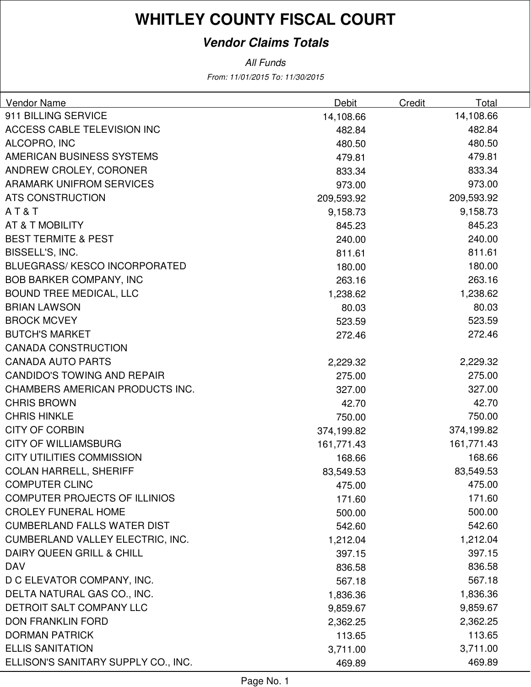#### **Vendor Claims Totals**

From: 11/01/2015 To: 11/30/2015 All Funds

| Vendor Name                          | Debit      | Credit<br>Total |  |
|--------------------------------------|------------|-----------------|--|
| 911 BILLING SERVICE                  | 14,108.66  | 14,108.66       |  |
| ACCESS CABLE TELEVISION INC          | 482.84     | 482.84          |  |
| ALCOPRO, INC                         | 480.50     | 480.50          |  |
| AMERICAN BUSINESS SYSTEMS            | 479.81     | 479.81          |  |
| ANDREW CROLEY, CORONER               | 833.34     | 833.34          |  |
| <b>ARAMARK UNIFROM SERVICES</b>      | 973.00     | 973.00          |  |
| <b>ATS CONSTRUCTION</b>              | 209,593.92 | 209,593.92      |  |
| AT&T                                 | 9,158.73   | 9,158.73        |  |
| AT & T MOBILITY                      | 845.23     | 845.23          |  |
| <b>BEST TERMITE &amp; PEST</b>       | 240.00     | 240.00          |  |
| BISSELL'S, INC.                      | 811.61     | 811.61          |  |
| <b>BLUEGRASS/KESCO INCORPORATED</b>  | 180.00     | 180.00          |  |
| <b>BOB BARKER COMPANY, INC</b>       | 263.16     | 263.16          |  |
| <b>BOUND TREE MEDICAL, LLC</b>       | 1,238.62   | 1,238.62        |  |
| <b>BRIAN LAWSON</b>                  | 80.03      | 80.03           |  |
| <b>BROCK MCVEY</b>                   | 523.59     | 523.59          |  |
| <b>BUTCH'S MARKET</b>                | 272.46     | 272.46          |  |
| <b>CANADA CONSTRUCTION</b>           |            |                 |  |
| <b>CANADA AUTO PARTS</b>             | 2,229.32   | 2,229.32        |  |
| <b>CANDIDO'S TOWING AND REPAIR</b>   | 275.00     | 275.00          |  |
| CHAMBERS AMERICAN PRODUCTS INC.      | 327.00     | 327.00          |  |
| <b>CHRIS BROWN</b>                   | 42.70      | 42.70           |  |
| <b>CHRIS HINKLE</b>                  | 750.00     | 750.00          |  |
| <b>CITY OF CORBIN</b>                | 374,199.82 | 374,199.82      |  |
| <b>CITY OF WILLIAMSBURG</b>          | 161,771.43 | 161,771.43      |  |
| <b>CITY UTILITIES COMMISSION</b>     | 168.66     | 168.66          |  |
| <b>COLAN HARRELL, SHERIFF</b>        | 83,549.53  | 83,549.53       |  |
| <b>COMPUTER CLINC</b>                | 475.00     | 475.00          |  |
| COMPUTER PROJECTS OF ILLINIOS        | 171.60     | 171.60          |  |
| <b>CROLEY FUNERAL HOME</b>           | 500.00     | 500.00          |  |
| <b>CUMBERLAND FALLS WATER DIST</b>   | 542.60     | 542.60          |  |
| CUMBERLAND VALLEY ELECTRIC, INC.     | 1,212.04   | 1,212.04        |  |
| <b>DAIRY QUEEN GRILL &amp; CHILL</b> | 397.15     | 397.15          |  |
| <b>DAV</b>                           | 836.58     | 836.58          |  |
| D C ELEVATOR COMPANY, INC.           | 567.18     | 567.18          |  |
| DELTA NATURAL GAS CO., INC.          | 1,836.36   | 1,836.36        |  |
| DETROIT SALT COMPANY LLC             | 9,859.67   | 9,859.67        |  |
| <b>DON FRANKLIN FORD</b>             | 2,362.25   | 2,362.25        |  |
| <b>DORMAN PATRICK</b>                | 113.65     | 113.65          |  |
| <b>ELLIS SANITATION</b>              | 3,711.00   | 3,711.00        |  |
| ELLISON'S SANITARY SUPPLY CO., INC.  | 469.89     | 469.89          |  |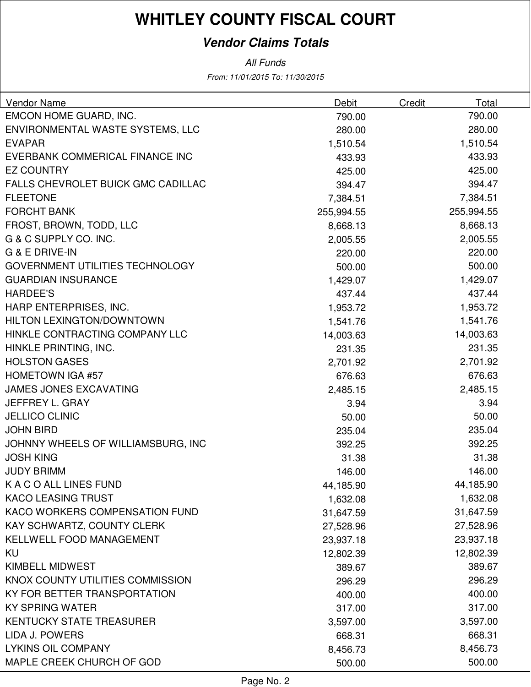#### **Vendor Claims Totals**

All Funds

From: 11/01/2015 To: 11/30/2015

| Vendor Name                            | Debit      | Credit | Total      |
|----------------------------------------|------------|--------|------------|
| EMCON HOME GUARD, INC.                 | 790.00     |        | 790.00     |
| ENVIRONMENTAL WASTE SYSTEMS, LLC       | 280.00     |        | 280.00     |
| <b>EVAPAR</b>                          | 1,510.54   |        | 1,510.54   |
| EVERBANK COMMERICAL FINANCE INC        | 433.93     |        | 433.93     |
| <b>EZ COUNTRY</b>                      | 425.00     |        | 425.00     |
| FALLS CHEVROLET BUICK GMC CADILLAC     | 394.47     |        | 394.47     |
| <b>FLEETONE</b>                        | 7,384.51   |        | 7,384.51   |
| <b>FORCHT BANK</b>                     | 255,994.55 |        | 255,994.55 |
| FROST, BROWN, TODD, LLC                | 8,668.13   |        | 8,668.13   |
| G & C SUPPLY CO. INC.                  | 2,005.55   |        | 2,005.55   |
| G & E DRIVE-IN                         | 220.00     |        | 220.00     |
| <b>GOVERNMENT UTILITIES TECHNOLOGY</b> | 500.00     |        | 500.00     |
| <b>GUARDIAN INSURANCE</b>              | 1,429.07   |        | 1,429.07   |
| <b>HARDEE'S</b>                        | 437.44     |        | 437.44     |
| HARP ENTERPRISES, INC.                 | 1,953.72   |        | 1,953.72   |
| HILTON LEXINGTON/DOWNTOWN              | 1,541.76   |        | 1,541.76   |
| HINKLE CONTRACTING COMPANY LLC         | 14,003.63  |        | 14,003.63  |
| HINKLE PRINTING, INC.                  | 231.35     |        | 231.35     |
| <b>HOLSTON GASES</b>                   | 2,701.92   |        | 2,701.92   |
| <b>HOMETOWN IGA #57</b>                | 676.63     |        | 676.63     |
| <b>JAMES JONES EXCAVATING</b>          | 2,485.15   |        | 2,485.15   |
| JEFFREY L. GRAY                        | 3.94       |        | 3.94       |
| <b>JELLICO CLINIC</b>                  | 50.00      |        | 50.00      |
| <b>JOHN BIRD</b>                       | 235.04     |        | 235.04     |
| JOHNNY WHEELS OF WILLIAMSBURG, INC     | 392.25     |        | 392.25     |
| <b>JOSH KING</b>                       | 31.38      |        | 31.38      |
| <b>JUDY BRIMM</b>                      | 146.00     |        | 146.00     |
| K A C O ALL LINES FUND                 | 44,185.90  |        | 44,185.90  |
| <b>KACO LEASING TRUST</b>              | 1,632.08   |        | 1,632.08   |
| KACO WORKERS COMPENSATION FUND         | 31,647.59  |        | 31,647.59  |
| KAY SCHWARTZ, COUNTY CLERK             | 27,528.96  |        | 27,528.96  |
| KELLWELL FOOD MANAGEMENT               | 23,937.18  |        | 23,937.18  |
| KU                                     | 12,802.39  |        | 12,802.39  |
| <b>KIMBELL MIDWEST</b>                 | 389.67     |        | 389.67     |
| KNOX COUNTY UTILITIES COMMISSION       | 296.29     |        | 296.29     |
| KY FOR BETTER TRANSPORTATION           | 400.00     |        | 400.00     |
| <b>KY SPRING WATER</b>                 | 317.00     |        | 317.00     |
| KENTUCKY STATE TREASURER               | 3,597.00   |        | 3,597.00   |
| LIDA J. POWERS                         | 668.31     |        | 668.31     |
| <b>LYKINS OIL COMPANY</b>              | 8,456.73   |        | 8,456.73   |
| MAPLE CREEK CHURCH OF GOD              | 500.00     |        | 500.00     |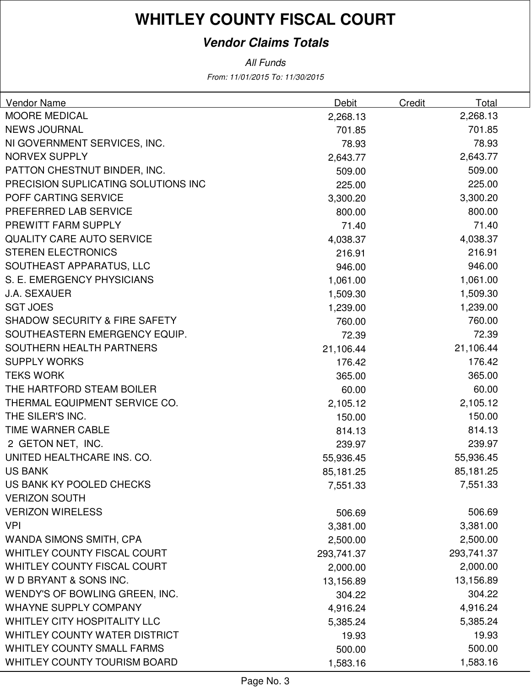#### **Vendor Claims Totals**

All Funds

From: 11/01/2015 To: 11/30/2015

| Vendor Name                              | <b>Debit</b> | Total<br><b>Credit</b> |  |
|------------------------------------------|--------------|------------------------|--|
| <b>MOORE MEDICAL</b>                     | 2,268.13     | 2,268.13               |  |
| <b>NEWS JOURNAL</b>                      | 701.85       | 701.85                 |  |
| NI GOVERNMENT SERVICES, INC.             | 78.93        | 78.93                  |  |
| <b>NORVEX SUPPLY</b>                     | 2,643.77     | 2,643.77               |  |
| PATTON CHESTNUT BINDER, INC.             | 509.00       | 509.00                 |  |
| PRECISION SUPLICATING SOLUTIONS INC      | 225.00       | 225.00                 |  |
| POFF CARTING SERVICE                     | 3,300.20     | 3,300.20               |  |
| PREFERRED LAB SERVICE                    | 800.00       | 800.00                 |  |
| PREWITT FARM SUPPLY                      | 71.40        | 71.40                  |  |
| <b>QUALITY CARE AUTO SERVICE</b>         | 4,038.37     | 4,038.37               |  |
| <b>STEREN ELECTRONICS</b>                | 216.91       | 216.91                 |  |
| SOUTHEAST APPARATUS, LLC                 | 946.00       | 946.00                 |  |
| S. E. EMERGENCY PHYSICIANS               | 1,061.00     | 1,061.00               |  |
| <b>J.A. SEXAUER</b>                      | 1,509.30     | 1,509.30               |  |
| <b>SGT JOES</b>                          | 1,239.00     | 1,239.00               |  |
| <b>SHADOW SECURITY &amp; FIRE SAFETY</b> | 760.00       | 760.00                 |  |
| SOUTHEASTERN EMERGENCY EQUIP.            | 72.39        | 72.39                  |  |
| SOUTHERN HEALTH PARTNERS                 | 21,106.44    | 21,106.44              |  |
| <b>SUPPLY WORKS</b>                      | 176.42       | 176.42                 |  |
| <b>TEKS WORK</b>                         | 365.00       | 365.00                 |  |
| THE HARTFORD STEAM BOILER                | 60.00        | 60.00                  |  |
| THERMAL EQUIPMENT SERVICE CO.            | 2,105.12     | 2,105.12               |  |
| THE SILER'S INC.                         | 150.00       | 150.00                 |  |
| TIME WARNER CABLE                        | 814.13       | 814.13                 |  |
| 2 GETON NET, INC.                        | 239.97       | 239.97                 |  |
| UNITED HEALTHCARE INS. CO.               | 55,936.45    | 55,936.45              |  |
| <b>US BANK</b>                           | 85,181.25    | 85,181.25              |  |
| US BANK KY POOLED CHECKS                 | 7,551.33     | 7,551.33               |  |
| <b>VERIZON SOUTH</b>                     |              |                        |  |
| <b>VERIZON WIRELESS</b>                  | 506.69       | 506.69                 |  |
| <b>VPI</b>                               | 3,381.00     | 3,381.00               |  |
| WANDA SIMONS SMITH, CPA                  | 2,500.00     | 2,500.00               |  |
| WHITLEY COUNTY FISCAL COURT              | 293,741.37   | 293,741.37             |  |
| WHITLEY COUNTY FISCAL COURT              | 2,000.00     | 2,000.00               |  |
| W D BRYANT & SONS INC.                   | 13,156.89    | 13,156.89              |  |
| WENDY'S OF BOWLING GREEN, INC.           | 304.22       | 304.22                 |  |
| <b>WHAYNE SUPPLY COMPANY</b>             | 4,916.24     | 4,916.24               |  |
| <b>WHITLEY CITY HOSPITALITY LLC</b>      | 5,385.24     | 5,385.24               |  |
| <b>WHITLEY COUNTY WATER DISTRICT</b>     | 19.93        | 19.93                  |  |
| <b>WHITLEY COUNTY SMALL FARMS</b>        | 500.00       | 500.00                 |  |
| <b>WHITLEY COUNTY TOURISM BOARD</b>      | 1,583.16     | 1,583.16               |  |